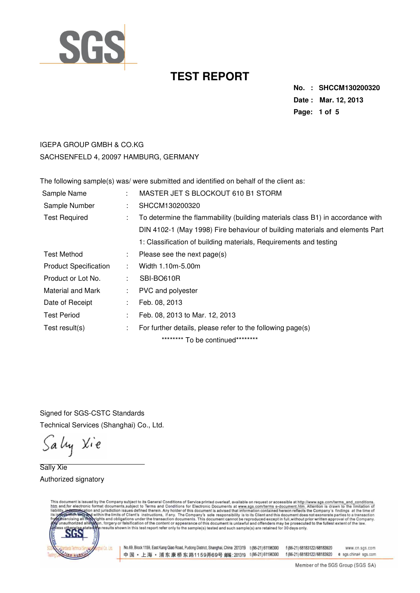

**No. : SHCCM130200320 Date : Mar. 12, 2013 Page: 1 of 5** 

#### IGEPA GROUP GMBH & CO.KG SACHSENFELD 4, 20097 HAMBURG, GERMANY

The following sample(s) was/ were submitted and identified on behalf of the client as:

| Sample Name                  | ÷  | MASTER JET S BLOCKOUT 610 B1 STORM                                             |
|------------------------------|----|--------------------------------------------------------------------------------|
| Sample Number                | ÷  | SHCCM130200320                                                                 |
| <b>Test Required</b>         | ÷  | To determine the flammability (building materials class B1) in accordance with |
|                              |    | DIN 4102-1 (May 1998) Fire behaviour of building materials and elements Part   |
|                              |    | 1: Classification of building materials, Requirements and testing              |
| <b>Test Method</b>           | ÷. | Please see the next page(s)                                                    |
| <b>Product Specification</b> |    | Width 1.10m-5.00m                                                              |
| Product or Lot No.           | ÷  | SBI-BO610R                                                                     |
| Material and Mark            |    | PVC and polyester                                                              |
| Date of Receipt              | ÷  | Feb. 08, 2013                                                                  |
| <b>Test Period</b>           | ÷  | Feb. 08, 2013 to Mar. 12, 2013                                                 |
| Test result(s)               | ÷. | For further details, please refer to the following page(s)                     |
|                              |    | ********* To be continued*********                                             |

Signed for SGS-CSTC Standards Technical Services (Shanghai) Co., Ltd.

Sally Xie

Sally Xie Authorized signatory

This document is issued by the Company subject to its General Conditions of Service printed overleaf, available on request or accessible at http://www.sgs.com/terms\_and\_conditions.<br>htm\_and,for electronic format documents,s



No.69, Block 1159, East Kang Qiao Road, Pudong District, Shanghai, China 201319 t (86-21) 61196300 f (86-21) 68183122/68183920 中国·上海·浦东康桥东路1159弄69号 邮编:201319 t(86-21)61196300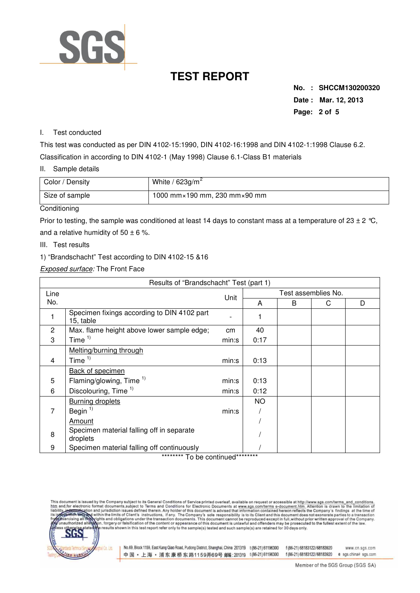

**No. : SHCCM130200320 Date : Mar. 12, 2013 Page: 2 of 5** 

#### I. Test conducted

This test was conducted as per DIN 4102-15:1990, DIN 4102-16:1998 and DIN 4102-1:1998 Clause 6.2. Classification in according to DIN 4102-1 (May 1998) Clause 6.1-Class B1 materials

II. Sample details

| Color / Density | White / $623g/m^2$                             |
|-----------------|------------------------------------------------|
| Size of sample  | 1000 mm $\times$ 190 mm, 230 mm $\times$ 90 mm |

#### **Conditioning**

Prior to testing, the sample was conditioned at least 14 days to constant mass at a temperature of 23  $\pm$  2 °C, and a relative humidity of  $50 \pm 6$  %.

- III. Test results
- 1) "Brandschacht" Test according to DIN 4102-15 &16

Exposed surface: The Front Face

| Results of "Brandschacht" Test (part 1) |                                                          |       |                     |   |   |   |  |
|-----------------------------------------|----------------------------------------------------------|-------|---------------------|---|---|---|--|
| Line                                    |                                                          |       | Test assemblies No. |   |   |   |  |
| No.                                     |                                                          | Unit  | A                   | B | C | D |  |
|                                         | Specimen fixings according to DIN 4102 part<br>15, table |       |                     |   |   |   |  |
| $\overline{2}$                          | Max. flame height above lower sample edge;               | cm    | 40                  |   |   |   |  |
| 3                                       | Time $1$                                                 | min:s | 0:17                |   |   |   |  |
|                                         | Melting/burning through                                  |       |                     |   |   |   |  |
| 4                                       | Time $1)$                                                | min:s | 0:13                |   |   |   |  |
|                                         | <b>Back of specimen</b>                                  |       |                     |   |   |   |  |
| 5                                       | Flaming/glowing, Time $1$                                | min:s | 0:13                |   |   |   |  |
| 6                                       | Discolouring, Time <sup>1)</sup>                         | min:s | 0:12                |   |   |   |  |
|                                         | <b>Burning droplets</b>                                  |       | <b>NO</b>           |   |   |   |  |
| 7                                       | Begin <sup>1)</sup>                                      | min:s |                     |   |   |   |  |
|                                         | Amount                                                   |       |                     |   |   |   |  |
| 8                                       | Specimen material falling off in separate<br>droplets    |       |                     |   |   |   |  |
| 9                                       | Specimen material falling off continuously               |       |                     |   |   |   |  |

\*\*\*\*\*\*\*\*\* To be continued\*\*\*\*\*\*\*\*\*

This document is issued by the Company subject to its General Conditions of Service printed overleaf, available on request or accessible at http://www.sgs.com/terms\_and\_conditions.<br>htm\_and,for\_electronic format\_documents,s



No.69, Block 1159, East Kang Qiao Road, Pudong District, Shanghai, China 201319 t (86-21) 61196300 f (86-21) 68183122/68183920 中国·上海·浦东康桥东路1159弄69号 邮编:201319 t(86-21)61196300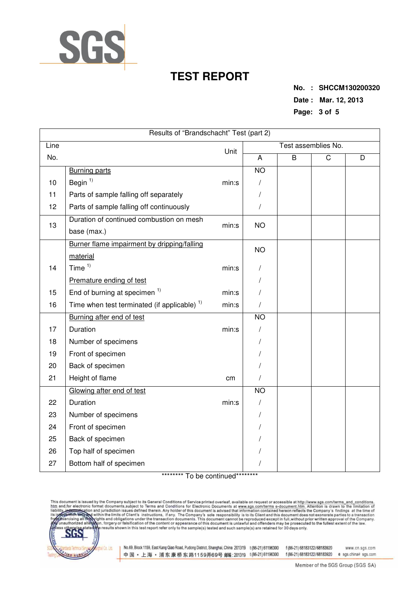

**No. : SHCCM130200320 Date : Mar. 12, 2013 Page: 3 of 5** 

| Results of "Brandschacht" Test (part 2) |                                                         |       |                     |   |   |   |  |  |
|-----------------------------------------|---------------------------------------------------------|-------|---------------------|---|---|---|--|--|
| Line                                    | Unit                                                    |       | Test assemblies No. |   |   |   |  |  |
| No.                                     |                                                         |       | A                   | B | C | D |  |  |
|                                         | <b>Burning parts</b>                                    |       | $\overline{NO}$     |   |   |   |  |  |
| 10                                      | Begin $1$                                               | min:s | /                   |   |   |   |  |  |
| 11                                      | Parts of sample falling off separately                  |       | T                   |   |   |   |  |  |
| 12                                      | Parts of sample falling off continuously                |       |                     |   |   |   |  |  |
| 13                                      | Duration of continued combustion on mesh                | min:s | <b>NO</b>           |   |   |   |  |  |
|                                         | base (max.)                                             |       |                     |   |   |   |  |  |
|                                         | Burner flame impairment by dripping/falling             |       | <b>NO</b>           |   |   |   |  |  |
|                                         | material                                                |       |                     |   |   |   |  |  |
| 14                                      | Time $1)$                                               | min:s |                     |   |   |   |  |  |
|                                         | Premature ending of test                                |       |                     |   |   |   |  |  |
| 15                                      | End of burning at specimen <sup>1)</sup>                | min:s |                     |   |   |   |  |  |
| 16                                      | Time when test terminated (if applicable) <sup>1)</sup> | min:s |                     |   |   |   |  |  |
|                                         | Burning after end of test                               |       | N <sub>O</sub>      |   |   |   |  |  |
| 17                                      | Duration                                                | min:s |                     |   |   |   |  |  |
| 18                                      | Number of specimens                                     |       |                     |   |   |   |  |  |
| 19                                      | Front of specimen                                       |       |                     |   |   |   |  |  |
| 20                                      | Back of specimen                                        |       |                     |   |   |   |  |  |
| 21                                      | Height of flame                                         | cm    |                     |   |   |   |  |  |
|                                         | Glowing after end of test                               |       | <b>NO</b>           |   |   |   |  |  |
| 22                                      | Duration                                                | min:s |                     |   |   |   |  |  |
| 23                                      | Number of specimens                                     |       |                     |   |   |   |  |  |
| 24                                      | Front of specimen                                       |       |                     |   |   |   |  |  |
| 25                                      | Back of specimen                                        |       |                     |   |   |   |  |  |
| 26                                      | Top half of specimen                                    |       |                     |   |   |   |  |  |
| 27                                      | Bottom half of specimen                                 |       |                     |   |   |   |  |  |

\*\*\*\*\*\*\*\*\* To be continued\*\*\*\*\*\*\*\*\*

This document is issued by the Company subject to its General Conditions of Service printed overleaf, available on request or accessible at http://www.sgs.com/terms\_and\_conditions.<br>htm\_and,for electronic format documents,s



No.69, Block 1159, East Kang Qiao Road, Pudong District, Shanghai, China 201319 t (86-21) 61196300 f (86-21) 68183122/68183920 中国·上海·浦东康桥东路1159弄69号 邮(201319 t(86-21)61196300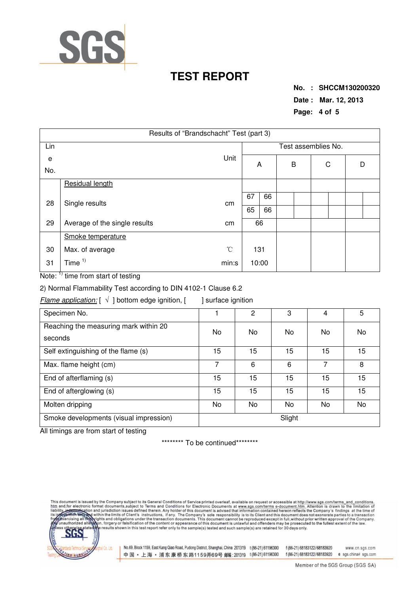

**No. : SHCCM130200320 Date : Mar. 12, 2013 Page: 4 of 5** 

| Results of "Brandschacht" Test (part 3) |                               |                 |       |                     |   |  |   |  |   |  |
|-----------------------------------------|-------------------------------|-----------------|-------|---------------------|---|--|---|--|---|--|
| Lin                                     |                               |                 |       | Test assemblies No. |   |  |   |  |   |  |
| e                                       | Unit                          |                 | A     |                     | B |  | C |  | D |  |
| No.                                     |                               |                 |       |                     |   |  |   |  |   |  |
|                                         | Residual length               |                 |       |                     |   |  |   |  |   |  |
| 28<br>Single results                    |                               | cm              | 67    | 66                  |   |  |   |  |   |  |
|                                         |                               |                 | 65    | 66                  |   |  |   |  |   |  |
| 29                                      | Average of the single results | cm              | 66    |                     |   |  |   |  |   |  |
|                                         | Smoke temperature             |                 |       |                     |   |  |   |  |   |  |
| 30                                      | Max. of average               | $\rm ^{\circ}C$ | 131   |                     |   |  |   |  |   |  |
| 31                                      | Time $1$                      | min:s           | 10:00 |                     |   |  |   |  |   |  |

Note:  $\frac{1}{1}$  time from start of testing

2) Normal Flammability Test according to DIN 4102-1 Clause 6.2

Flame application:  $[\sqrt{}]$  bottom edge ignition,  $[\n]$  surface ignition

| Specimen No.                                     |        | 2  | З  | 4   | 5  |  |  |
|--------------------------------------------------|--------|----|----|-----|----|--|--|
| Reaching the measuring mark within 20<br>seconds | No     | No | No | No  | No |  |  |
| Self extinguishing of the flame (s)              | 15     | 15 | 15 | 15  | 15 |  |  |
| Max. flame height (cm)                           | 7      | 6  | 6  | 7   | 8  |  |  |
| End of afterflaming (s)                          | 15     | 15 | 15 | 15  | 15 |  |  |
| End of afterglowing (s)                          | 15     | 15 | 15 | 15  | 15 |  |  |
| Molten dripping                                  | No     | No | No | No. | No |  |  |
| Smoke developments (visual impression)           | Slight |    |    |     |    |  |  |

All timings are from start of testing

\*\*\*\*\*\*\*\*\* To be continued\*\*\*\*\*\*\*\*\*

s document is issued by the Company subject to its General Conditions of Service printed overleaf, available on request or accessible at http://www.sgs.com/terms\_and\_conditions.<br>and,for electronic format documents,subject htm liabilit



No.69, Block 1159, East Kang Qiao Road, Pudong District, Shanghai, China 201319 t (86-21) 61196300 f (86-21) 68183122/68183920 中国·上海·浦东康桥东路1159弄69号 邮编:201319 t(86-21)61196300